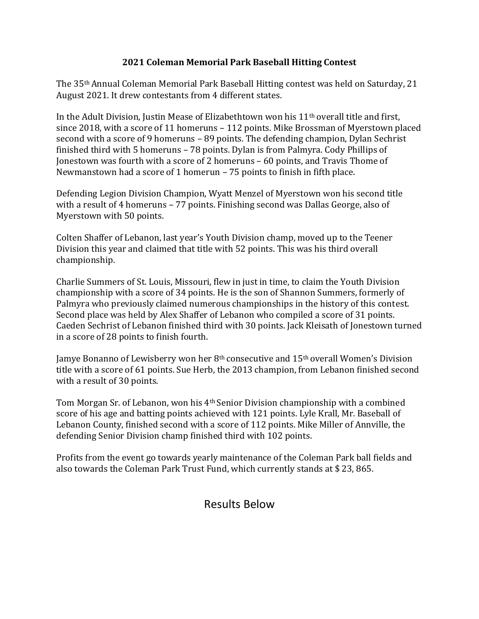## **2021 Coleman Memorial Park Baseball Hitting Contest**

The 35th Annual Coleman Memorial Park Baseball Hitting contest was held on Saturday, 21 August 2021. It drew contestants from 4 different states.

In the Adult Division, Justin Mease of Elizabethtown won his  $11<sup>th</sup>$  overall title and first, since 2018, with a score of 11 homeruns – 112 points. Mike Brossman of Myerstown placed second with a score of 9 homeruns – 89 points. The defending champion, Dylan Sechrist finished third with 5 homeruns – 78 points. Dylan is from Palmyra. Cody Phillips of Jonestown was fourth with a score of 2 homeruns – 60 points, and Travis Thome of Newmanstown had a score of 1 homerun – 75 points to finish in fifth place.

Defending Legion Division Champion, Wyatt Menzel of Myerstown won his second title with a result of 4 homeruns – 77 points. Finishing second was Dallas George, also of Myerstown with 50 points.

Colten Shaffer of Lebanon, last year's Youth Division champ, moved up to the Teener Division this year and claimed that title with 52 points. This was his third overall championship.

Charlie Summers of St. Louis, Missouri, flew in just in time, to claim the Youth Division championship with a score of 34 points. He is the son of Shannon Summers, formerly of Palmyra who previously claimed numerous championships in the history of this contest. Second place was held by Alex Shaffer of Lebanon who compiled a score of 31 points. Caeden Sechrist of Lebanon finished third with 30 points. Jack Kleisath of Jonestown turned in a score of 28 points to finish fourth.

Jamye Bonanno of Lewisberry won her 8<sup>th</sup> consecutive and 15<sup>th</sup> overall Women's Division title with a score of 61 points. Sue Herb, the 2013 champion, from Lebanon finished second with a result of 30 points.

Tom Morgan Sr. of Lebanon, won his 4th Senior Division championship with a combined score of his age and batting points achieved with 121 points. Lyle Krall, Mr. Baseball of Lebanon County, finished second with a score of 112 points. Mike Miller of Annville, the defending Senior Division champ finished third with 102 points.

Profits from the event go towards yearly maintenance of the Coleman Park ball fields and also towards the Coleman Park Trust Fund, which currently stands at \$ 23, 865.

## Results Below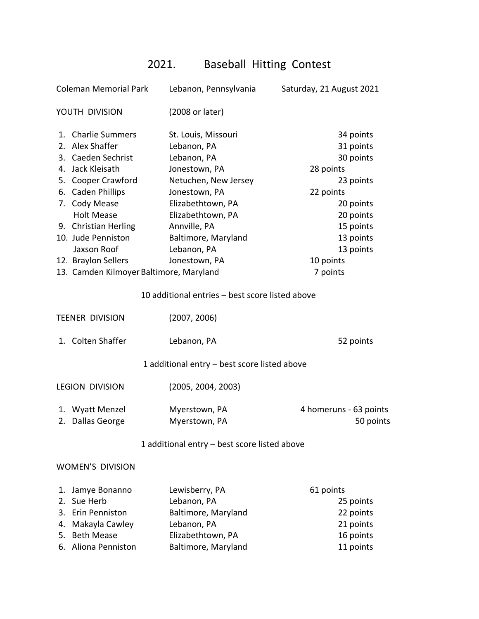## 2021. Baseball Hitting Contest

| <b>Coleman Memorial Park</b> |                                         | Lebanon, Pennsylvania                           | Saturday, 21 August 2021 |
|------------------------------|-----------------------------------------|-------------------------------------------------|--------------------------|
| YOUTH DIVISION               |                                         | (2008 or later)                                 |                          |
|                              | 1. Charlie Summers                      | St. Louis, Missouri                             | 34 points                |
|                              | 2. Alex Shaffer                         | Lebanon, PA                                     | 31 points                |
|                              | 3. Caeden Sechrist                      | Lebanon, PA                                     | 30 points                |
|                              | 4. Jack Kleisath                        | Jonestown, PA                                   | 28 points                |
|                              | 5. Cooper Crawford                      | Netuchen, New Jersey                            | 23 points                |
|                              | 6. Caden Phillips                       | Jonestown, PA                                   | 22 points                |
|                              | 7. Cody Mease                           | Elizabethtown, PA                               | 20 points                |
|                              | <b>Holt Mease</b>                       | Elizabethtown, PA                               | 20 points                |
|                              | 9. Christian Herling                    | Annville, PA                                    | 15 points                |
|                              | 10. Jude Penniston                      | Baltimore, Maryland                             | 13 points                |
|                              | Jaxson Roof                             | Lebanon, PA                                     | 13 points                |
|                              | 12. Braylon Sellers                     | Jonestown, PA                                   | 10 points                |
|                              | 13. Camden Kilmoyer Baltimore, Maryland |                                                 | 7 points                 |
|                              |                                         | 10 additional entries - best score listed above |                          |
|                              | <b>TEENER DIVISION</b>                  | (2007, 2006)                                    |                          |
|                              | 1. Colten Shaffer                       | Lebanon, PA                                     | 52 points                |
|                              |                                         | 1 additional entry - best score listed above    |                          |
| <b>LEGION DIVISION</b>       |                                         | (2005, 2004, 2003)                              |                          |
|                              | 1. Wyatt Menzel                         | Myerstown, PA                                   | 4 homeruns - 63 points   |
|                              | 2. Dallas George                        | Myerstown, PA                                   | 50 points                |
|                              |                                         | 1 additional entry - best score listed above    |                          |
|                              | <b>WOMEN'S DIVISION</b>                 |                                                 |                          |
| 1.                           | Jamye Bonanno                           | Lewisberry, PA                                  | 61 points                |
| 2.                           | Sue Herb                                | Lebanon, PA                                     | 25 points                |
|                              | 3. Erin Penniston                       | Baltimore, Maryland                             | 22 points                |
| 4.                           | Makayla Cawley                          | Lebanon, PA                                     | 21 points                |
| 5.                           | <b>Beth Mease</b>                       | Elizabethtown, PA                               | 16 points                |
| 6.                           | Aliona Penniston                        | Baltimore, Maryland                             | 11 points                |